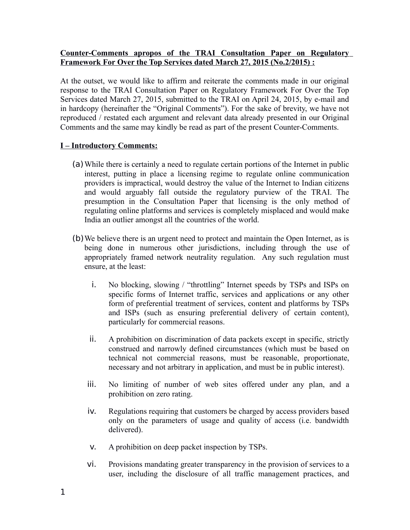### **Counter-Comments apropos of the TRAI Consultation Paper on Regulatory Framework For Over the Top Services dated March 27, 2015 (No.2/2015) :**

At the outset, we would like to affirm and reiterate the comments made in our original response to the TRAI Consultation Paper on Regulatory Framework For Over the Top Services dated March 27, 2015, submitted to the TRAI on April 24, 2015, by e-mail and in hardcopy (hereinafter the "Original Comments"). For the sake of brevity, we have not reproduced / restated each argument and relevant data already presented in our Original Comments and the same may kindly be read as part of the present Counter-Comments.

### **I – Introductory Comments:**

- (a)While there is certainly a need to regulate certain portions of the Internet in public interest, putting in place a licensing regime to regulate online communication providers is impractical, would destroy the value of the Internet to Indian citizens and would arguably fall outside the regulatory purview of the TRAI. The presumption in the Consultation Paper that licensing is the only method of regulating online platforms and services is completely misplaced and would make India an outlier amongst all the countries of the world.
- (b)We believe there is an urgent need to protect and maintain the Open Internet, as is being done in numerous other jurisdictions, including through the use of appropriately framed network neutrality regulation. Any such regulation must ensure, at the least:
	- i. No blocking, slowing / "throttling" Internet speeds by TSPs and ISPs on specific forms of Internet traffic, services and applications or any other form of preferential treatment of services, content and platforms by TSPs and ISPs (such as ensuring preferential delivery of certain content), particularly for commercial reasons.
	- ii. A prohibition on discrimination of data packets except in specific, strictly construed and narrowly defined circumstances (which must be based on technical not commercial reasons, must be reasonable, proportionate, necessary and not arbitrary in application, and must be in public interest).
	- iii. No limiting of number of web sites offered under any plan, and a prohibition on zero rating.
	- iv. Regulations requiring that customers be charged by access providers based only on the parameters of usage and quality of access (i.e. bandwidth delivered).
	- v. A prohibition on deep packet inspection by TSPs.
	- vi. Provisions mandating greater transparency in the provision of services to a user, including the disclosure of all traffic management practices, and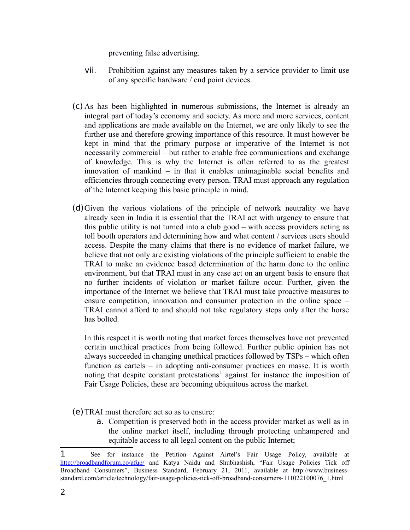preventing false advertising.

- vii. Prohibition against any measures taken by a service provider to limit use of any specific hardware / end point devices.
- (c) As has been highlighted in numerous submissions, the Internet is already an integral part of today's economy and society. As more and more services, content and applications are made available on the Internet, we are only likely to see the further use and therefore growing importance of this resource. It must however be kept in mind that the primary purpose or imperative of the Internet is not necessarily commercial – but rather to enable free communications and exchange of knowledge. This is why the Internet is often referred to as the greatest innovation of mankind – in that it enables unimaginable social benefits and efficiencies through connecting every person. TRAI must approach any regulation of the Internet keeping this basic principle in mind.
- (d)Given the various violations of the principle of network neutrality we have already seen in India it is essential that the TRAI act with urgency to ensure that this public utility is not turned into a club good – with access providers acting as toll booth operators and determining how and what content / services users should access. Despite the many claims that there is no evidence of market failure, we believe that not only are existing violations of the principle sufficient to enable the TRAI to make an evidence based determination of the harm done to the online environment, but that TRAI must in any case act on an urgent basis to ensure that no further incidents of violation or market failure occur. Further, given the importance of the Internet we believe that TRAI must take proactive measures to ensure competition, innovation and consumer protection in the online space – TRAI cannot afford to and should not take regulatory steps only after the horse has bolted.

In this respect it is worth noting that market forces themselves have not prevented certain unethical practices from being followed. Further public opinion has not always succeeded in changing unethical practices followed by TSPs – which often function as cartels – in adopting anti-consumer practices en masse. It is worth noting that despite constant protestations<sup>[1](#page-1-0)</sup> against for instance the imposition of Fair Usage Policies, these are becoming ubiquitous across the market.

- (e)TRAI must therefore act so as to ensure:
	- a. Competition is preserved both in the access provider market as well as in the online market itself, including through protecting unhampered and equitable access to all legal content on the public Internet;

<span id="page-1-0"></span><sup>1</sup> See for instance the Petition Against Airtel's Fair Usage Policy, available at <http://broadbandforum.co/afup/>and Katya Naidu and Shubhashish, "Fair Usage Policies Tick off Broadband Consumers", Business Standard, February 21, 2011, available at http://www.businessstandard.com/article/technology/fair-usage-policies-tick-off-broadband-consumers-111022100076\_1.html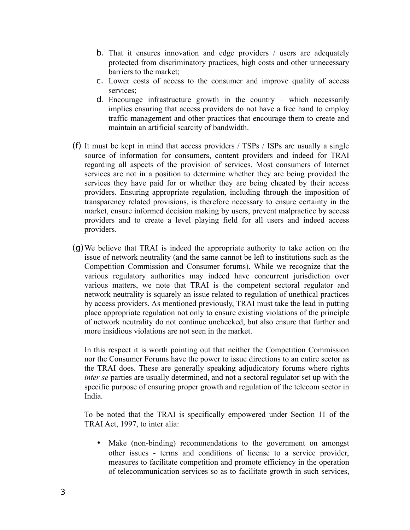- b. That it ensures innovation and edge providers / users are adequately protected from discriminatory practices, high costs and other unnecessary barriers to the market;
- c. Lower costs of access to the consumer and improve quality of access services;
- d. Encourage infrastructure growth in the country which necessarily implies ensuring that access providers do not have a free hand to employ traffic management and other practices that encourage them to create and maintain an artificial scarcity of bandwidth.
- (f) It must be kept in mind that access providers / TSPs / ISPs are usually a single source of information for consumers, content providers and indeed for TRAI regarding all aspects of the provision of services. Most consumers of Internet services are not in a position to determine whether they are being provided the services they have paid for or whether they are being cheated by their access providers. Ensuring appropriate regulation, including through the imposition of transparency related provisions, is therefore necessary to ensure certainty in the market, ensure informed decision making by users, prevent malpractice by access providers and to create a level playing field for all users and indeed access providers.
- (g)We believe that TRAI is indeed the appropriate authority to take action on the issue of network neutrality (and the same cannot be left to institutions such as the Competition Commission and Consumer forums). While we recognize that the various regulatory authorities may indeed have concurrent jurisdiction over various matters, we note that TRAI is the competent sectoral regulator and network neutrality is squarely an issue related to regulation of unethical practices by access providers. As mentioned previously, TRAI must take the lead in putting place appropriate regulation not only to ensure existing violations of the principle of network neutrality do not continue unchecked, but also ensure that further and more insidious violations are not seen in the market.

In this respect it is worth pointing out that neither the Competition Commission nor the Consumer Forums have the power to issue directions to an entire sector as the TRAI does. These are generally speaking adjudicatory forums where rights *inter se* parties are usually determined, and not a sectoral regulator set up with the specific purpose of ensuring proper growth and regulation of the telecom sector in India.

To be noted that the TRAI is specifically empowered under Section 11 of the TRAI Act, 1997, to inter alia:

• Make (non-binding) recommendations to the government on amongst other issues - terms and conditions of license to a service provider, measures to facilitate competition and promote efficiency in the operation of telecommunication services so as to facilitate growth in such services,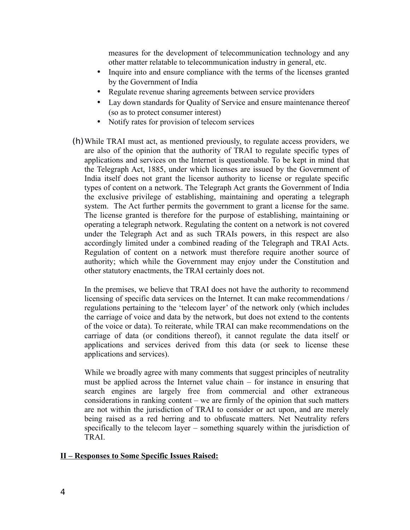measures for the development of telecommunication technology and any other matter relatable to telecommunication industry in general, etc.

- Inquire into and ensure compliance with the terms of the licenses granted by the Government of India
- Regulate revenue sharing agreements between service providers
- Lay down standards for Quality of Service and ensure maintenance thereof (so as to protect consumer interest)
- Notify rates for provision of telecom services
- (h)While TRAI must act, as mentioned previously, to regulate access providers, we are also of the opinion that the authority of TRAI to regulate specific types of applications and services on the Internet is questionable. To be kept in mind that the Telegraph Act, 1885, under which licenses are issued by the Government of India itself does not grant the licensor authority to license or regulate specific types of content on a network. The Telegraph Act grants the Government of India the exclusive privilege of establishing, maintaining and operating a telegraph system. The Act further permits the government to grant a license for the same. The license granted is therefore for the purpose of establishing, maintaining or operating a telegraph network. Regulating the content on a network is not covered under the Telegraph Act and as such TRAIs powers, in this respect are also accordingly limited under a combined reading of the Telegraph and TRAI Acts. Regulation of content on a network must therefore require another source of authority; which while the Government may enjoy under the Constitution and other statutory enactments, the TRAI certainly does not.

In the premises, we believe that TRAI does not have the authority to recommend licensing of specific data services on the Internet. It can make recommendations / regulations pertaining to the 'telecom layer' of the network only (which includes the carriage of voice and data by the network, but does not extend to the contents of the voice or data). To reiterate, while TRAI can make recommendations on the carriage of data (or conditions thereof), it cannot regulate the data itself or applications and services derived from this data (or seek to license these applications and services).

While we broadly agree with many comments that suggest principles of neutrality must be applied across the Internet value chain – for instance in ensuring that search engines are largely free from commercial and other extraneous considerations in ranking content – we are firmly of the opinion that such matters are not within the jurisdiction of TRAI to consider or act upon, and are merely being raised as a red herring and to obfuscate matters. Net Neutrality refers specifically to the telecom layer – something squarely within the jurisdiction of TRAI.

# **II – Responses to Some Specific Issues Raised:**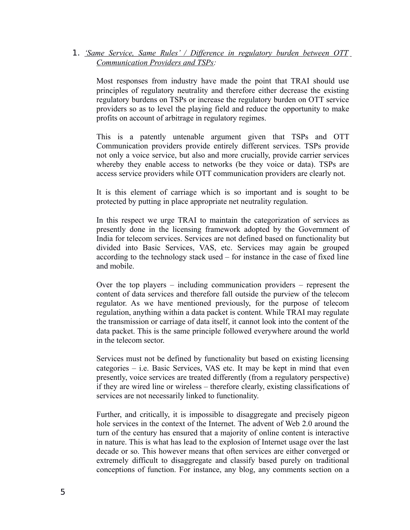1. *'Same Service, Same Rules' / Difference in regulatory burden between OTT Communication Providers and TSPs:*

Most responses from industry have made the point that TRAI should use principles of regulatory neutrality and therefore either decrease the existing regulatory burdens on TSPs or increase the regulatory burden on OTT service providers so as to level the playing field and reduce the opportunity to make profits on account of arbitrage in regulatory regimes.

This is a patently untenable argument given that TSPs and OTT Communication providers provide entirely different services. TSPs provide not only a voice service, but also and more crucially, provide carrier services whereby they enable access to networks (be they voice or data). TSPs are access service providers while OTT communication providers are clearly not.

It is this element of carriage which is so important and is sought to be protected by putting in place appropriate net neutrality regulation.

In this respect we urge TRAI to maintain the categorization of services as presently done in the licensing framework adopted by the Government of India for telecom services. Services are not defined based on functionality but divided into Basic Services, VAS, etc. Services may again be grouped according to the technology stack used – for instance in the case of fixed line and mobile.

Over the top players – including communication providers – represent the content of data services and therefore fall outside the purview of the telecom regulator. As we have mentioned previously, for the purpose of telecom regulation, anything within a data packet is content. While TRAI may regulate the transmission or carriage of data itself, it cannot look into the content of the data packet. This is the same principle followed everywhere around the world in the telecom sector.

Services must not be defined by functionality but based on existing licensing categories – i.e. Basic Services, VAS etc. It may be kept in mind that even presently, voice services are treated differently (from a regulatory perspective) if they are wired line or wireless – therefore clearly, existing classifications of services are not necessarily linked to functionality.

Further, and critically, it is impossible to disaggregate and precisely pigeon hole services in the context of the Internet. The advent of Web 2.0 around the turn of the century has ensured that a majority of online content is interactive in nature. This is what has lead to the explosion of Internet usage over the last decade or so. This however means that often services are either converged or extremely difficult to disaggregate and classify based purely on traditional conceptions of function. For instance, any blog, any comments section on a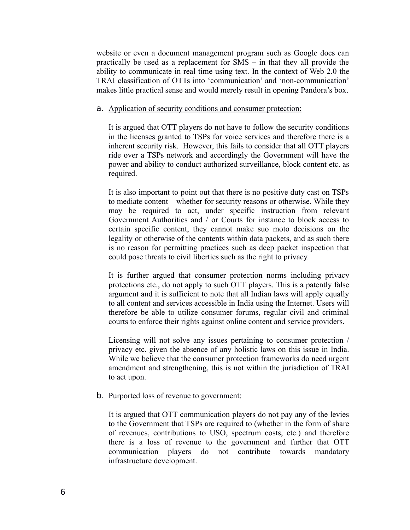website or even a document management program such as Google docs can practically be used as a replacement for SMS – in that they all provide the ability to communicate in real time using text. In the context of Web 2.0 the TRAI classification of OTTs into 'communication' and 'non-communication' makes little practical sense and would merely result in opening Pandora's box.

#### a. Application of security conditions and consumer protection:

It is argued that OTT players do not have to follow the security conditions in the licenses granted to TSPs for voice services and therefore there is a inherent security risk. However, this fails to consider that all OTT players ride over a TSPs network and accordingly the Government will have the power and ability to conduct authorized surveillance, block content etc. as required.

It is also important to point out that there is no positive duty cast on TSPs to mediate content – whether for security reasons or otherwise. While they may be required to act, under specific instruction from relevant Government Authorities and / or Courts for instance to block access to certain specific content, they cannot make suo moto decisions on the legality or otherwise of the contents within data packets, and as such there is no reason for permitting practices such as deep packet inspection that could pose threats to civil liberties such as the right to privacy.

It is further argued that consumer protection norms including privacy protections etc., do not apply to such OTT players. This is a patently false argument and it is sufficient to note that all Indian laws will apply equally to all content and services accessible in India using the Internet. Users will therefore be able to utilize consumer forums, regular civil and criminal courts to enforce their rights against online content and service providers.

Licensing will not solve any issues pertaining to consumer protection / privacy etc. given the absence of any holistic laws on this issue in India. While we believe that the consumer protection frameworks do need urgent amendment and strengthening, this is not within the jurisdiction of TRAI to act upon.

### b. Purported loss of revenue to government:

It is argued that OTT communication players do not pay any of the levies to the Government that TSPs are required to (whether in the form of share of revenues, contributions to USO, spectrum costs, etc.) and therefore there is a loss of revenue to the government and further that OTT communication players do not contribute towards mandatory infrastructure development.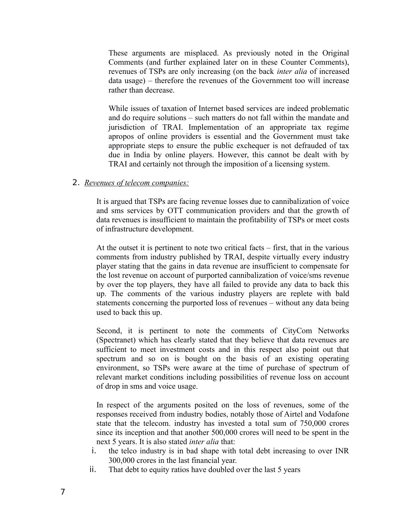These arguments are misplaced. As previously noted in the Original Comments (and further explained later on in these Counter Comments), revenues of TSPs are only increasing (on the back *inter alia* of increased data usage) – therefore the revenues of the Government too will increase rather than decrease.

While issues of taxation of Internet based services are indeed problematic and do require solutions – such matters do not fall within the mandate and jurisdiction of TRAI. Implementation of an appropriate tax regime apropos of online providers is essential and the Government must take appropriate steps to ensure the public exchequer is not defrauded of tax due in India by online players. However, this cannot be dealt with by TRAI and certainly not through the imposition of a licensing system.

### 2. *Revenues of telecom companies:*

It is argued that TSPs are facing revenue losses due to cannibalization of voice and sms services by OTT communication providers and that the growth of data revenues is insufficient to maintain the profitability of TSPs or meet costs of infrastructure development.

At the outset it is pertinent to note two critical facts – first, that in the various comments from industry published by TRAI, despite virtually every industry player stating that the gains in data revenue are insufficient to compensate for the lost revenue on account of purported cannibalization of voice/sms revenue by over the top players, they have all failed to provide any data to back this up. The comments of the various industry players are replete with bald statements concerning the purported loss of revenues – without any data being used to back this up.

Second, it is pertinent to note the comments of CityCom Networks (Spectranet) which has clearly stated that they believe that data revenues are sufficient to meet investment costs and in this respect also point out that spectrum and so on is bought on the basis of an existing operating environment, so TSPs were aware at the time of purchase of spectrum of relevant market conditions including possibilities of revenue loss on account of drop in sms and voice usage.

In respect of the arguments posited on the loss of revenues, some of the responses received from industry bodies, notably those of Airtel and Vodafone state that the telecom. industry has invested a total sum of 750,000 crores since its inception and that another 500,000 crores will need to be spent in the next 5 years. It is also stated *inter alia* that:

- i. the telco industry is in bad shape with total debt increasing to over INR 300,000 crores in the last financial year.
- ii. That debt to equity ratios have doubled over the last 5 years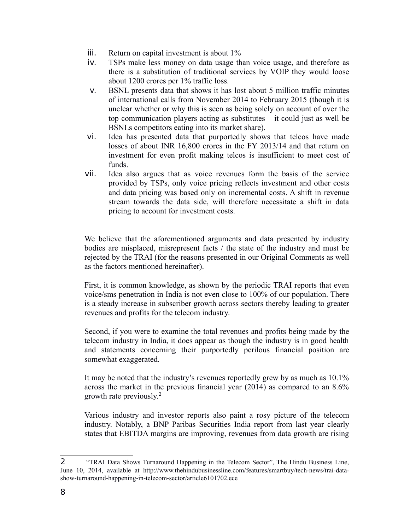- iii. Return on capital investment is about 1%
- iv. TSPs make less money on data usage than voice usage, and therefore as there is a substitution of traditional services by VOIP they would loose about 1200 crores per 1% traffic loss.
- v. BSNL presents data that shows it has lost about 5 million traffic minutes of international calls from November 2014 to February 2015 (though it is unclear whether or why this is seen as being solely on account of over the top communication players acting as substitutes – it could just as well be BSNLs competitors eating into its market share).
- vi. Idea has presented data that purportedly shows that telcos have made losses of about INR 16,800 crores in the FY 2013/14 and that return on investment for even profit making telcos is insufficient to meet cost of funds.
- vii. Idea also argues that as voice revenues form the basis of the service provided by TSPs, only voice pricing reflects investment and other costs and data pricing was based only on incremental costs. A shift in revenue stream towards the data side, will therefore necessitate a shift in data pricing to account for investment costs.

We believe that the aforementioned arguments and data presented by industry bodies are misplaced, misrepresent facts / the state of the industry and must be rejected by the TRAI (for the reasons presented in our Original Comments as well as the factors mentioned hereinafter).

First, it is common knowledge, as shown by the periodic TRAI reports that even voice/sms penetration in India is not even close to 100% of our population. There is a steady increase in subscriber growth across sectors thereby leading to greater revenues and profits for the telecom industry.

Second, if you were to examine the total revenues and profits being made by the telecom industry in India, it does appear as though the industry is in good health and statements concerning their purportedly perilous financial position are somewhat exaggerated.

It may be noted that the industry's revenues reportedly grew by as much as 10.1% across the market in the previous financial year (2014) as compared to an 8.6% growth rate previously.<sup>[2](#page-7-0)</sup>

Various industry and investor reports also paint a rosy picture of the telecom industry. Notably, a BNP Paribas Securities India report from last year clearly states that EBITDA margins are improving, revenues from data growth are rising

<span id="page-7-0"></span><sup>2</sup> "TRAI Data Shows Turnaround Happening in the Telecom Sector", The Hindu Business Line, June 10, 2014, available at http://www.thehindubusinessline.com/features/smartbuy/tech-news/trai-datashow-turnaround-happening-in-telecom-sector/article6101702.ece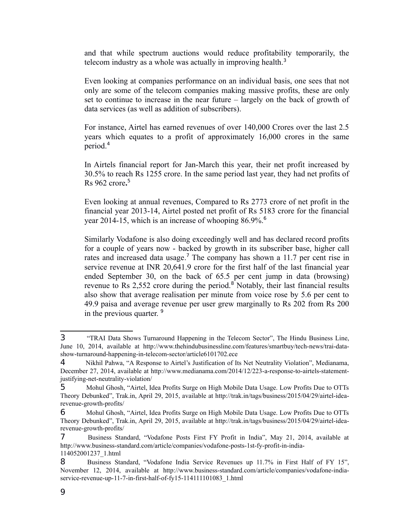and that while spectrum auctions would reduce profitability temporarily, the telecom industry as a whole was actually in improving health.<sup>[3](#page-8-0)</sup>

Even looking at companies performance on an individual basis, one sees that not only are some of the telecom companies making massive profits, these are only set to continue to increase in the near future – largely on the back of growth of data services (as well as addition of subscribers).

For instance, Airtel has earned revenues of over 140,000 Crores over the last 2.5 years which equates to a profit of approximately 16,000 crores in the same period.[4](#page-8-1)

In Airtels financial report for Jan-March this year, their net profit increased by 30.5% to reach Rs 1255 crore. In the same period last year, they had net profits of Rs 962 crore**.** [5](#page-8-2)

Even looking at annual revenues, Compared to Rs 2773 crore of net profit in the financial year 2013-14, Airtel posted net profit of Rs 5183 crore for the financial year 2014-15, which is an increase of whooping  $86.9\%$  $86.9\%$  $86.9\%$ <sup>6</sup>.

Similarly Vodafone is also doing exceedingly well and has declared record profits for a couple of years now - backed by growth in its subscriber base, higher call rates and increased data usage.<sup>[7](#page-8-4)</sup> The company has shown a 11.7 per cent rise in service revenue at INR 20,641.9 crore for the first half of the last financial year ended September 30, on the back of 65.5 per cent jump in data (browsing) revenue to Rs 2,552 crore during the period.<sup>[8](#page-8-5)</sup> Notably, their last financial results also show that average realisation per minute from voice rose by 5.6 per cent to 49.9 paisa and average revenue per user grew marginally to Rs 202 from Rs 200 in the previous quarter.  $9$ 

<span id="page-8-0"></span><sup>3</sup> "TRAI Data Shows Turnaround Happening in the Telecom Sector", The Hindu Business Line, June 10, 2014, available at http://www.thehindubusinessline.com/features/smartbuy/tech-news/trai-datashow-turnaround-happening-in-telecom-sector/article6101702.ece

<span id="page-8-1"></span><sup>4</sup> Nikhil Pahwa, "A Response to Airtel's Justification of Its Net Neutrality Violation", Medianama, December 27, 2014, available at http://www.medianama.com/2014/12/223-a-response-to-airtels-statementjustifying-net-neutrality-violation/

<span id="page-8-2"></span><sup>5</sup> Mohul Ghosh, "Airtel, Idea Profits Surge on High Mobile Data Usage. Low Profits Due to OTTs Theory Debunked", Trak.in, April 29, 2015, available at http://trak.in/tags/business/2015/04/29/airtel-idearevenue-growth-profits/

<span id="page-8-3"></span><sup>6</sup> Mohul Ghosh, "Airtel, Idea Profits Surge on High Mobile Data Usage. Low Profits Due to OTTs Theory Debunked", Trak.in, April 29, 2015, available at http://trak.in/tags/business/2015/04/29/airtel-idearevenue-growth-profits/

<span id="page-8-4"></span><sup>7</sup> Business Standard, "Vodafone Posts First FY Profit in India", May 21, 2014, available at http://www.business-standard.com/article/companies/vodafone-posts-1st-fy-profit-in-india-114052001237\_1.html

<span id="page-8-5"></span><sup>8</sup> Business Standard, "Vodafone India Service Revenues up 11.7% in First Half of FY 15", November 12, 2014, available at http://www.business-standard.com/article/companies/vodafone-indiaservice-revenue-up-11-7-in-first-half-of-fy15-114111101083\_1.html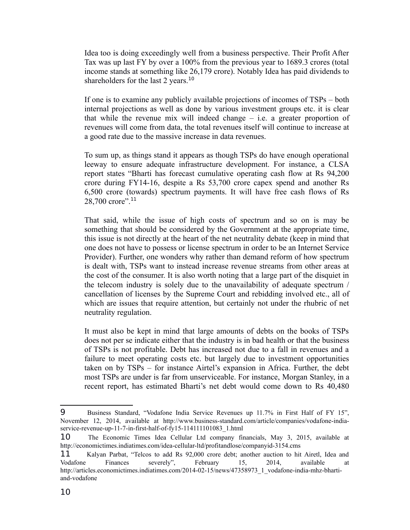Idea too is doing exceedingly well from a business perspective. Their Profit After Tax was up last FY by over a 100% from the previous year to 1689.3 crores (total income stands at something like 26,179 crore). Notably Idea has paid dividends to shareholders for the last 2 years.<sup>[10](#page-9-0)</sup>

If one is to examine any publicly available projections of incomes of TSPs – both internal projections as well as done by various investment groups etc. it is clear that while the revenue mix will indeed change  $-$  i.e. a greater proportion of revenues will come from data, the total revenues itself will continue to increase at a good rate due to the massive increase in data revenues.

To sum up, as things stand it appears as though TSPs do have enough operational leeway to ensure adequate infrastructure development. For instance, a CLSA report states "Bharti has forecast cumulative operating cash flow at Rs 94,200 crore during FY14-16, despite a Rs 53,700 crore capex spend and another Rs 6,500 crore (towards) spectrum payments. It will have free cash flows of Rs 28,700 crore". $^{11}$  $^{11}$  $^{11}$ 

That said, while the issue of high costs of spectrum and so on is may be something that should be considered by the Government at the appropriate time, this issue is not directly at the heart of the net neutrality debate (keep in mind that one does not have to possess or license spectrum in order to be an Internet Service Provider). Further, one wonders why rather than demand reform of how spectrum is dealt with, TSPs want to instead increase revenue streams from other areas at the cost of the consumer. It is also worth noting that a large part of the disquiet in the telecom industry is solely due to the unavailability of adequate spectrum / cancellation of licenses by the Supreme Court and rebidding involved etc., all of which are issues that require attention, but certainly not under the rhubric of net neutrality regulation.

It must also be kept in mind that large amounts of debts on the books of TSPs does not per se indicate either that the industry is in bad health or that the business of TSPs is not profitable. Debt has increased not due to a fall in revenues and a failure to meet operating costs etc. but largely due to investment opportunities taken on by TSPs – for instance Airtel's expansion in Africa. Further, the debt most TSPs are under is far from unserviceable. For instance, Morgan Stanley, in a recent report, has estimated Bharti's net debt would come down to Rs 40,480

<sup>9</sup> Business Standard, "Vodafone India Service Revenues up 11.7% in First Half of FY 15", November 12, 2014, available at http://www.business-standard.com/article/companies/vodafone-indiaservice-revenue-up-11-7-in-first-half-of-fy15-114111101083\_1.html

<span id="page-9-0"></span><sup>10</sup> The Economic Times Idea Cellular Ltd company financials, May 3, 2015, available at http://economictimes.indiatimes.com/idea-cellular-ltd/profitandlose/companyid-3154.cms

<span id="page-9-1"></span><sup>11</sup> Kalyan Parbat, "Telcos to add Rs 92,000 crore debt; another auction to hit Airetl, Idea and Vodafone Finances severely", February 15, 2014, available at http://articles.economictimes.indiatimes.com/2014-02-15/news/47358973\_1\_vodafone-india-mhz-bhartiand-vodafone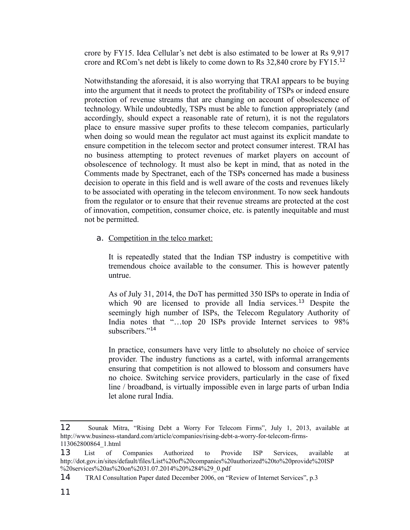crore by FY15. Idea Cellular's net debt is also estimated to be lower at Rs 9,917 crore and RCom's net debt is likely to come down to Rs  $32,840$  crore by FY15.<sup>[12](#page-10-0)</sup>

Notwithstanding the aforesaid, it is also worrying that TRAI appears to be buying into the argument that it needs to protect the profitability of TSPs or indeed ensure protection of revenue streams that are changing on account of obsolescence of technology. While undoubtedly, TSPs must be able to function appropriately (and accordingly, should expect a reasonable rate of return), it is not the regulators place to ensure massive super profits to these telecom companies, particularly when doing so would mean the regulator act must against its explicit mandate to ensure competition in the telecom sector and protect consumer interest. TRAI has no business attempting to protect revenues of market players on account of obsolescence of technology. It must also be kept in mind, that as noted in the Comments made by Spectranet, each of the TSPs concerned has made a business decision to operate in this field and is well aware of the costs and revenues likely to be associated with operating in the telecom environment. To now seek handouts from the regulator or to ensure that their revenue streams are protected at the cost of innovation, competition, consumer choice, etc. is patently inequitable and must not be permitted.

a. Competition in the telco market:

It is repeatedly stated that the Indian TSP industry is competitive with tremendous choice available to the consumer. This is however patently untrue.

As of July 31, 2014, the DoT has permitted 350 ISPs to operate in India of which 90 are licensed to provide all India services.<sup>[13](#page-10-1)</sup> Despite the seemingly high number of ISPs, the Telecom Regulatory Authority of India notes that "...top 20 ISPs provide Internet services to 98% subscribers<sup>"[14](#page-10-2)</sup>

In practice, consumers have very little to absolutely no choice of service provider. The industry functions as a cartel, with informal arrangements ensuring that competition is not allowed to blossom and consumers have no choice. Switching service providers, particularly in the case of fixed line / broadband, is virtually impossible even in large parts of urban India let alone rural India.

<span id="page-10-0"></span><sup>12</sup> Sounak Mitra, "Rising Debt a Worry For Telecom Firms", July 1, 2013, available at http://www.business-standard.com/article/companies/rising-debt-a-worry-for-telecom-firms-113062800864\_1.html

<span id="page-10-1"></span><sup>13</sup> List of Companies Authorized to Provide ISP Services, available at http://dot.gov.in/sites/default/files/List%20of%20companies%20authorized%20to%20provide%20ISP %20services%20as%20on%2031.07.2014%20%284%29\_0.pdf

<span id="page-10-2"></span><sup>14</sup> TRAI Consultation Paper dated December 2006, on "Review of Internet Services", p.3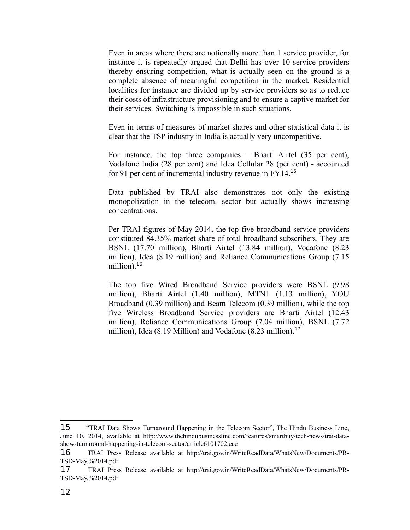Even in areas where there are notionally more than 1 service provider, for instance it is repeatedly argued that Delhi has over 10 service providers thereby ensuring competition, what is actually seen on the ground is a complete absence of meaningful competition in the market. Residential localities for instance are divided up by service providers so as to reduce their costs of infrastructure provisioning and to ensure a captive market for their services. Switching is impossible in such situations.

Even in terms of measures of market shares and other statistical data it is clear that the TSP industry in India is actually very uncompetitive.

For instance, the top three companies – Bharti Airtel (35 per cent), Vodafone India (28 per cent) and Idea Cellular 28 (per cent) - accounted for 91 per cent of incremental industry revenue in FY14.[15](#page-11-0)

Data published by TRAI also demonstrates not only the existing monopolization in the telecom. sector but actually shows increasing concentrations.

Per TRAI figures of May 2014, the top five broadband service providers constituted 84.35% market share of total broadband subscribers. They are BSNL (17.70 million), Bharti Airtel (13.84 million), Vodafone (8.23 million), Idea (8.19 million) and Reliance Communications Group (7.15 million). $16$ 

The top five Wired Broadband Service providers were BSNL (9.98 million), Bharti Airtel (1.40 million), MTNL (1.13 million), YOU Broadband (0.39 million) and Beam Telecom (0.39 million), while the top five Wireless Broadband Service providers are Bharti Airtel (12.43 million), Reliance Communications Group (7.04 million), BSNL (7.72 million), Idea (8.19 Million) and Vodafone (8.23 million).<sup>[17](#page-11-2)</sup>

<span id="page-11-0"></span><sup>15</sup> "TRAI Data Shows Turnaround Happening in the Telecom Sector", The Hindu Business Line, June 10, 2014, available at http://www.thehindubusinessline.com/features/smartbuy/tech-news/trai-datashow-turnaround-happening-in-telecom-sector/article6101702.ece

<span id="page-11-1"></span><sup>16</sup> TRAI Press Release available at http://trai.gov.in/WriteReadData/WhatsNew/Documents/PR-TSD-May,%2014.pdf

<span id="page-11-2"></span><sup>17</sup> TRAI Press Release available at http://trai.gov.in/WriteReadData/WhatsNew/Documents/PR-TSD-May,%2014.pdf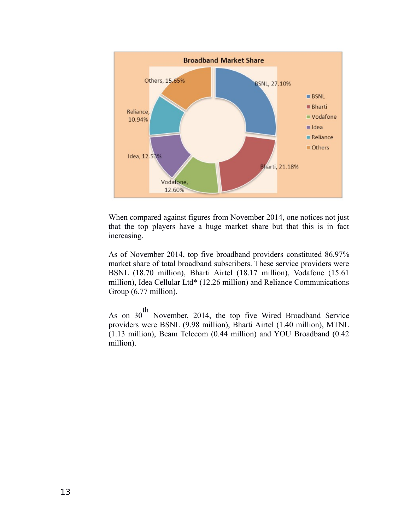

When compared against figures from November 2014, one notices not just that the top players have a huge market share but that this is in fact increasing.

As of November 2014, top five broadband providers constituted 86.97% market share of total broadband subscribers. These service providers were BSNL (18.70 million), Bharti Airtel (18.17 million), Vodafone (15.61 million), Idea Cellular Ltd\* (12.26 million) and Reliance Communications Group (6.77 million).

As on 30<sup>th</sup> November, 2014, the top five Wired Broadband Service providers were BSNL (9.98 million), Bharti Airtel (1.40 million), MTNL (1.13 million), Beam Telecom (0.44 million) and YOU Broadband (0.42 million).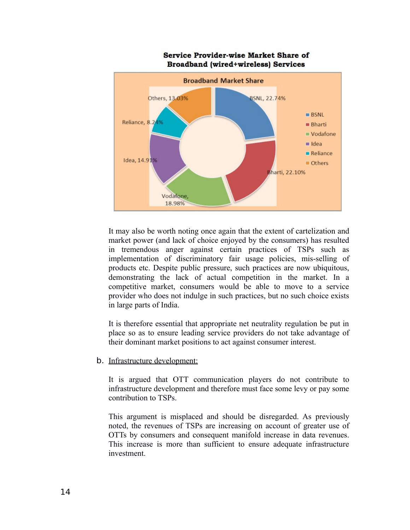

### **Service Provider-wise Market Share of Broadband (wired+wireless) Services**

It may also be worth noting once again that the extent of cartelization and market power (and lack of choice enjoyed by the consumers) has resulted in tremendous anger against certain practices of TSPs such as implementation of discriminatory fair usage policies, mis-selling of products etc. Despite public pressure, such practices are now ubiquitous, demonstrating the lack of actual competition in the market. In a competitive market, consumers would be able to move to a service provider who does not indulge in such practices, but no such choice exists in large parts of India.

It is therefore essential that appropriate net neutrality regulation be put in place so as to ensure leading service providers do not take advantage of their dominant market positions to act against consumer interest.

b. Infrastructure development:

It is argued that OTT communication players do not contribute to infrastructure development and therefore must face some levy or pay some contribution to TSPs.

This argument is misplaced and should be disregarded. As previously noted, the revenues of TSPs are increasing on account of greater use of OTTs by consumers and consequent manifold increase in data revenues. This increase is more than sufficient to ensure adequate infrastructure investment.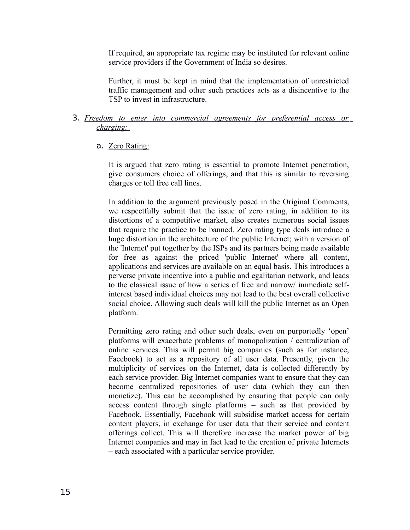If required, an appropriate tax regime may be instituted for relevant online service providers if the Government of India so desires.

Further, it must be kept in mind that the implementation of unrestricted traffic management and other such practices acts as a disincentive to the TSP to invest in infrastructure.

### 3. *Freedom to enter into commercial agreements for preferential access or charging:*

### a. Zero Rating:

It is argued that zero rating is essential to promote Internet penetration, give consumers choice of offerings, and that this is similar to reversing charges or toll free call lines.

In addition to the argument previously posed in the Original Comments, we respectfully submit that the issue of zero rating, in addition to its distortions of a competitive market, also creates numerous social issues that require the practice to be banned. Zero rating type deals introduce a huge distortion in the architecture of the public Internet; with a version of the 'Internet' put together by the ISPs and its partners being made available for free as against the priced 'public Internet' where all content, applications and services are available on an equal basis. This introduces a perverse private incentive into a public and egalitarian network, and leads to the classical issue of how a series of free and narrow/ immediate selfinterest based individual choices may not lead to the best overall collective social choice. Allowing such deals will kill the public Internet as an Open platform.

Permitting zero rating and other such deals, even on purportedly 'open' platforms will exacerbate problems of monopolization / centralization of online services. This will permit big companies (such as for instance, Facebook) to act as a repository of all user data. Presently, given the multiplicity of services on the Internet, data is collected differently by each service provider. Big Internet companies want to ensure that they can become centralized repositories of user data (which they can then monetize). This can be accomplished by ensuring that people can only access content through single platforms – such as that provided by Facebook. Essentially, Facebook will subsidise market access for certain content players, in exchange for user data that their service and content offerings collect. This will therefore increase the market power of big Internet companies and may in fact lead to the creation of private Internets – each associated with a particular service provider.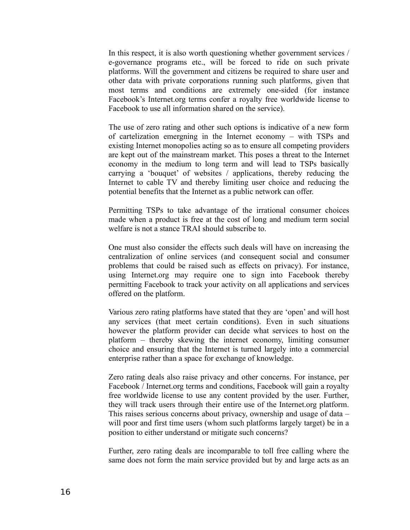In this respect, it is also worth questioning whether government services / e-governance programs etc., will be forced to ride on such private platforms. Will the government and citizens be required to share user and other data with private corporations running such platforms, given that most terms and conditions are extremely one-sided (for instance Facebook's Internet.org terms confer a royalty free worldwide license to Facebook to use all information shared on the service).

The use of zero rating and other such options is indicative of a new form of cartelization emergning in the Internet economy – with TSPs and existing Internet monopolies acting so as to ensure all competing providers are kept out of the mainstream market. This poses a threat to the Internet economy in the medium to long term and will lead to TSPs basically carrying a 'bouquet' of websites / applications, thereby reducing the Internet to cable TV and thereby limiting user choice and reducing the potential benefits that the Internet as a public network can offer.

Permitting TSPs to take advantage of the irrational consumer choices made when a product is free at the cost of long and medium term social welfare is not a stance TRAI should subscribe to.

One must also consider the effects such deals will have on increasing the centralization of online services (and consequent social and consumer problems that could be raised such as effects on privacy). For instance, using Internet.org may require one to sign into Facebook thereby permitting Facebook to track your activity on all applications and services offered on the platform.

Various zero rating platforms have stated that they are 'open' and will host any services (that meet certain conditions). Even in such situations however the platform provider can decide what services to host on the platform – thereby skewing the internet economy, limiting consumer choice and ensuring that the Internet is turned largely into a commercial enterprise rather than a space for exchange of knowledge.

Zero rating deals also raise privacy and other concerns. For instance, per Facebook / Internet.org terms and conditions, Facebook will gain a royalty free worldwide license to use any content provided by the user. Further, they will track users through their entire use of the Internet.org platform. This raises serious concerns about privacy, ownership and usage of data – will poor and first time users (whom such platforms largely target) be in a position to either understand or mitigate such concerns?

Further, zero rating deals are incomparable to toll free calling where the same does not form the main service provided but by and large acts as an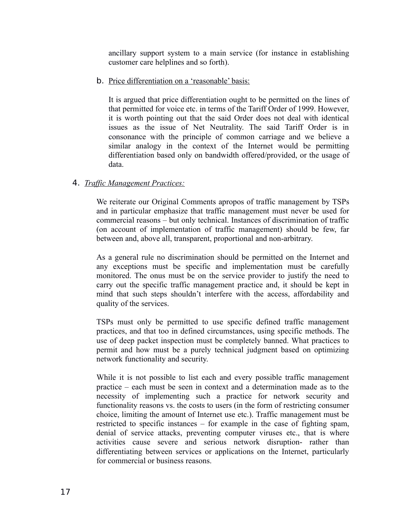ancillary support system to a main service (for instance in establishing customer care helplines and so forth).

b. Price differentiation on a 'reasonable' basis:

It is argued that price differentiation ought to be permitted on the lines of that permitted for voice etc. in terms of the Tariff Order of 1999. However, it is worth pointing out that the said Order does not deal with identical issues as the issue of Net Neutrality. The said Tariff Order is in consonance with the principle of common carriage and we believe a similar analogy in the context of the Internet would be permitting differentiation based only on bandwidth offered/provided, or the usage of data.

# 4. *Traffic Management Practices:*

We reiterate our Original Comments apropos of traffic management by TSPs and in particular emphasize that traffic management must never be used for commercial reasons – but only technical. Instances of discrimination of traffic (on account of implementation of traffic management) should be few, far between and, above all, transparent, proportional and non-arbitrary.

As a general rule no discrimination should be permitted on the Internet and any exceptions must be specific and implementation must be carefully monitored. The onus must be on the service provider to justify the need to carry out the specific traffic management practice and, it should be kept in mind that such steps shouldn't interfere with the access, affordability and quality of the services.

TSPs must only be permitted to use specific defined traffic management practices, and that too in defined circumstances, using specific methods. The use of deep packet inspection must be completely banned. What practices to permit and how must be a purely technical judgment based on optimizing network functionality and security.

While it is not possible to list each and every possible traffic management practice – each must be seen in context and a determination made as to the necessity of implementing such a practice for network security and functionality reasons vs. the costs to users (in the form of restricting consumer choice, limiting the amount of Internet use etc.). Traffic management must be restricted to specific instances – for example in the case of fighting spam, denial of service attacks, preventing computer viruses etc., that is where activities cause severe and serious network disruption- rather than differentiating between services or applications on the Internet, particularly for commercial or business reasons.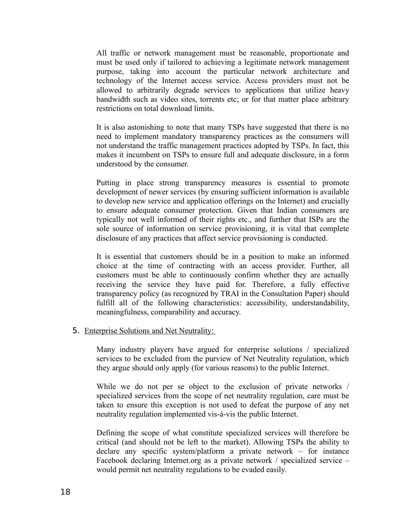All traffic or network management must be reasonable, proportionate and must be used only if tailored to achieving a legitimate network management purpose, taking into account the particular network architecture and technology of the Internet access service. Access providers must not be allowed to arbitrarily degrade services to applications that utilize heavy bandwidth such as video sites, torrents etc; or for that matter place arbitrary restrictions on total download limits.

It is also astonishing to note that many TSPs have suggested that there is no need to implement mandatory transparency practices as the consumers will not understand the traffic management practices adopted by TSPs. In fact, this makes it incumbent on TSPs to ensure full and adequate disclosure, in a form understood by the consumer.

Putting in place strong transparency measures is essential to promote development of newer services (by ensuring sufficient information is available to develop new service and application offerings on the Internet) and crucially to ensure adequate consumer protection. Given that Indian consumers are typically not well informed of their rights etc., and further that ISPs are the sole source of information on service provisioning, it is vital that complete disclosure of any practices that affect service provisioning is conducted.

It is essential that customers should be in a position to make an informed choice at the time of contracting with an access provider. Further, all customers must be able to continuously confirm whether they are actually receiving the service they have paid for. Therefore, a fully effective transparency policy (as recognized by TRAI in the Consultation Paper) should fulfill all of the following characteristics: accessibility, understandability, meaningfulness, comparability and accuracy.

5. Enterprise Solutions and Net Neutrality:

Many industry players have argued for enterprise solutions / specialized services to be excluded from the purview of Net Neutrality regulation, which they argue should only apply (for various reasons) to the public Internet.

While we do not per se object to the exclusion of private networks / specialized services from the scope of net neutrality regulation, care must be taken to ensure this exception is not used to defeat the purpose of any net neutrality regulation implemented vis-à-vis the public Internet.

Defining the scope of what constitute specialized services will therefore be critical (and should not be left to the market). Allowing TSPs the ability to declare any specific system/platform a private network – for instance Facebook declaring Internet.org as a private network / specialized service – would permit net neutrality regulations to be evaded easily.